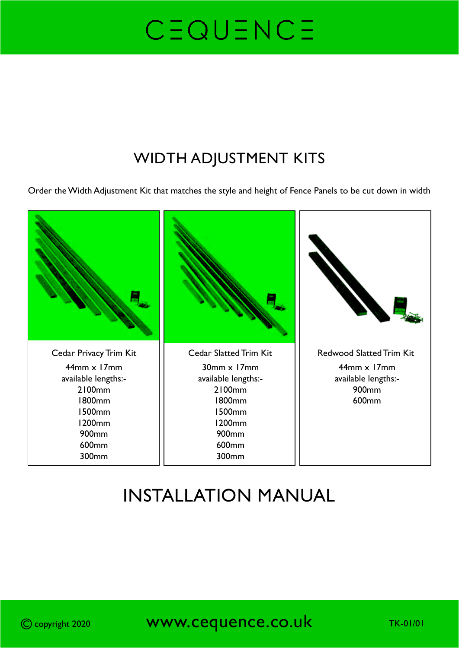#### WIDTH ADJUSTMENT KITS

Order the Width Adjustment Kit that matches the style and height of Fence Panels to be cut down in width



### INSTALLATION MANUAL

C copyright 2020 **WWW.Cequence.co.uk** TK-01/01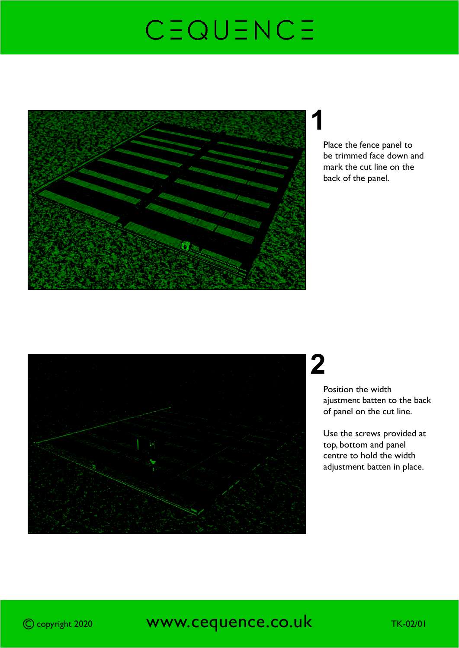

## **1**

Place the fence panel to be trimmed face down and mark the cut line on the back of the panel.



## **2**

Position the width ajustment batten to the back of panel on the cut line.

Use the screws provided at top, bottom and panel centre to hold the width adjustment batten in place.

#### C copyright 2020 **WWW.CEQUENCE.CO.UK** TK-02/01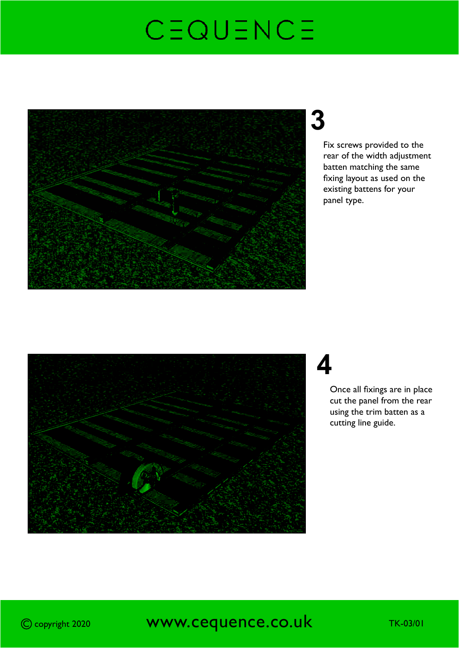

## **3**

Fix screws provided to the rear of the width adjustment batten matching the same fixing layout as used on the existing battens for your panel type.



### **4**

Once all fixings are in place cut the panel from the rear using the trim batten as a cutting line guide.

#### C copyright 2020 **WWW.Cequence.co.uk** TK-03/01